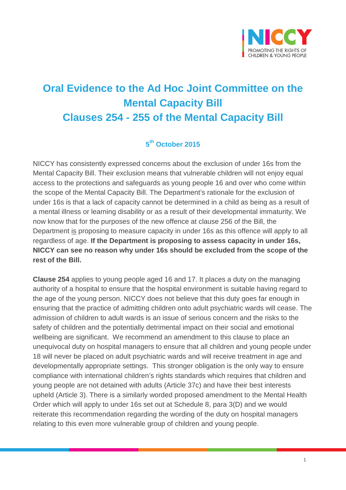

## **Oral Evidence to the Ad Hoc Joint Committee on the Mental Capacity Bill Clauses 254 - 255 of the Mental Capacity Bill**

## **5th October 2015**

NICCY has consistently expressed concerns about the exclusion of under 16s from the Mental Capacity Bill. Their exclusion means that vulnerable children will not enjoy equal access to the protections and safeguards as young people 16 and over who come within the scope of the Mental Capacity Bill. The Department's rationale for the exclusion of under 16s is that a lack of capacity cannot be determined in a child as being as a result of a mental illness or learning disability or as a result of their developmental immaturity. We now know that for the purposes of the new offence at clause 256 of the Bill, the Department is proposing to measure capacity in under 16s as this offence will apply to all regardless of age. **If the Department is proposing to assess capacity in under 16s, NICCY can see no reason why under 16s should be excluded from the scope of the rest of the Bill.** 

**Clause 254** applies to young people aged 16 and 17. It places a duty on the managing authority of a hospital to ensure that the hospital environment is suitable having regard to the age of the young person. NICCY does not believe that this duty goes far enough in ensuring that the practice of admitting children onto adult psychiatric wards will cease. The admission of children to adult wards is an issue of serious concern and the risks to the safety of children and the potentially detrimental impact on their social and emotional wellbeing are significant. We recommend an amendment to this clause to place an unequivocal duty on hospital managers to ensure that all children and young people under 18 will never be placed on adult psychiatric wards and will receive treatment in age and developmentally appropriate settings. This stronger obligation is the only way to ensure compliance with international children's rights standards which requires that children and young people are not detained with adults (Article 37c) and have their best interests upheld (Article 3). There is a similarly worded proposed amendment to the Mental Health Order which will apply to under 16s set out at Schedule 8, para 3(D) and we would reiterate this recommendation regarding the wording of the duty on hospital managers relating to this even more vulnerable group of children and young people.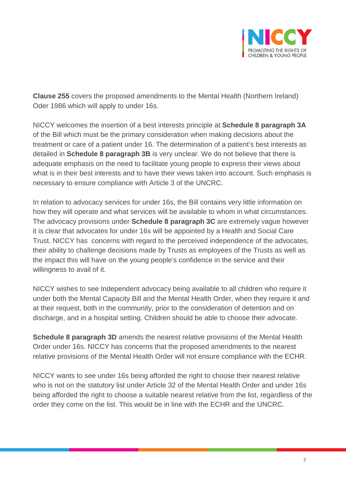

**Clause 255** covers the proposed amendments to the Mental Health (Northern Ireland) Oder 1986 which will apply to under 16s.

NICCY welcomes the insertion of a best interests principle at **Schedule 8 paragraph 3A** of the Bill which must be the primary consideration when making decisions about the treatment or care of a patient under 16. The determination of a patient's best interests as detailed in **Schedule 8 paragraph 3B** is very unclear. We do not believe that there is adequate emphasis on the need to facilitate young people to express their views about what is in their best interests and to have their views taken into account. Such emphasis is necessary to ensure compliance with Article 3 of the UNCRC.

In relation to advocacy services for under 16s, the Bill contains very little information on how they will operate and what services will be available to whom in what circumstances. The advocacy provisions under **Schedule 8 paragraph 3C** are extremely vague however it is clear that advocates for under 16s will be appointed by a Health and Social Care Trust. NICCY has concerns with regard to the perceived independence of the advocates, their ability to challenge decisions made by Trusts as employees of the Trusts as well as the impact this will have on the young people's confidence in the service and their willingness to avail of it.

NICCY wishes to see Independent advocacy being available to all children who require it under both the Mental Capacity Bill and the Mental Health Order, when they require it and at their request, both in the community, prior to the consideration of detention and on discharge, and in a hospital setting. Children should be able to choose their advocate.

**Schedule 8 paragraph 3D** amends the nearest relative provisions of the Mental Health Order under 16s. NICCY has concerns that the proposed amendments to the nearest relative provisions of the Mental Health Order will not ensure compliance with the ECHR.

NICCY wants to see under 16s being afforded the right to choose their nearest relative who is not on the statutory list under Article 32 of the Mental Health Order and under 16s being afforded the right to choose a suitable nearest relative from the list, regardless of the order they come on the list. This would be in line with the ECHR and the UNCRC.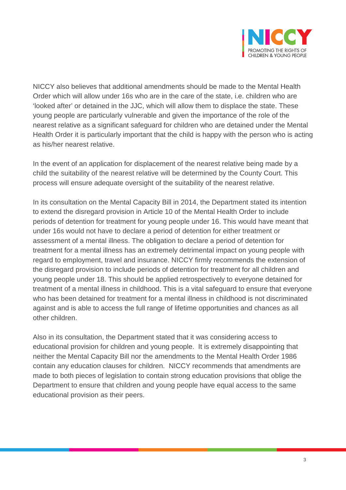

NICCY also believes that additional amendments should be made to the Mental Health Order which will allow under 16s who are in the care of the state, i.e. children who are 'looked after' or detained in the JJC, which will allow them to displace the state. These young people are particularly vulnerable and given the importance of the role of the nearest relative as a significant safeguard for children who are detained under the Mental Health Order it is particularly important that the child is happy with the person who is acting as his/her nearest relative.

In the event of an application for displacement of the nearest relative being made by a child the suitability of the nearest relative will be determined by the County Court. This process will ensure adequate oversight of the suitability of the nearest relative.

In its consultation on the Mental Capacity Bill in 2014, the Department stated its intention to extend the disregard provision in Article 10 of the Mental Health Order to include periods of detention for treatment for young people under 16. This would have meant that under 16s would not have to declare a period of detention for either treatment or assessment of a mental illness. The obligation to declare a period of detention for treatment for a mental illness has an extremely detrimental impact on young people with regard to employment, travel and insurance. NICCY firmly recommends the extension of the disregard provision to include periods of detention for treatment for all children and young people under 18. This should be applied retrospectively to everyone detained for treatment of a mental illness in childhood. This is a vital safeguard to ensure that everyone who has been detained for treatment for a mental illness in childhood is not discriminated against and is able to access the full range of lifetime opportunities and chances as all other children.

Also in its consultation, the Department stated that it was considering access to educational provision for children and young people. It is extremely disappointing that neither the Mental Capacity Bill nor the amendments to the Mental Health Order 1986 contain any education clauses for children. NICCY recommends that amendments are made to both pieces of legislation to contain strong education provisions that oblige the Department to ensure that children and young people have equal access to the same educational provision as their peers.